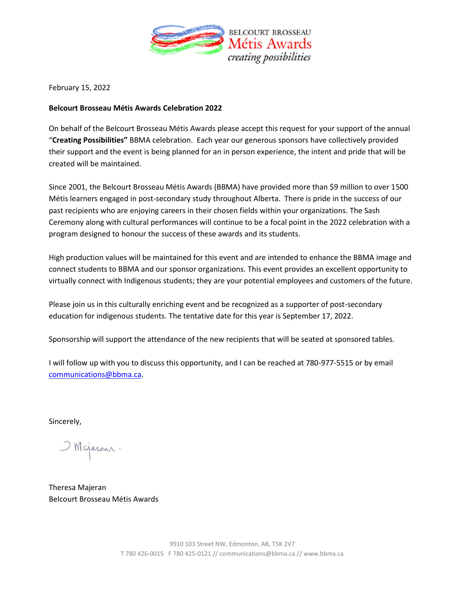

February 15, 2022

#### **Belcourt Brosseau Métis Awards Celebration 2022**

On behalf of the Belcourt Brosseau Métis Awards please accept this request for your support of the annual "**Creating Possibilities"** BBMA celebration. Each year our generous sponsors have collectively provided their support and the event is being planned for an in person experience, the intent and pride that will be created will be maintained.

Since 2001, the Belcourt Brosseau Métis Awards (BBMA) have provided more than \$9 million to over 1500 Métis learners engaged in post-secondary study throughout Alberta. There is pride in the success of our past recipients who are enjoying careers in their chosen fields within your organizations. The Sash Ceremony along with cultural performances will continue to be a focal point in the 2022 celebration with a program designed to honour the success of these awards and its students.

High production values will be maintained for this event and are intended to enhance the BBMA image and connect students to BBMA and our sponsor organizations. This event provides an excellent opportunity to virtually connect with Indigenous students; they are your potential employees and customers of the future.

Please join us in this culturally enriching event and be recognized as a supporter of post-secondary education for indigenous students. The tentative date for this year is September 17, 2022.

Sponsorship will support the attendance of the new recipients that will be seated at sponsored tables.

I will follow up with you to discuss this opportunity, and I can be reached at 780-977-5515 or by email [communications@bbma.ca.](mailto:communications@bbma.ca)

Sincerely,

OMGeren.

Theresa Majeran Belcourt Brosseau Métis Awards